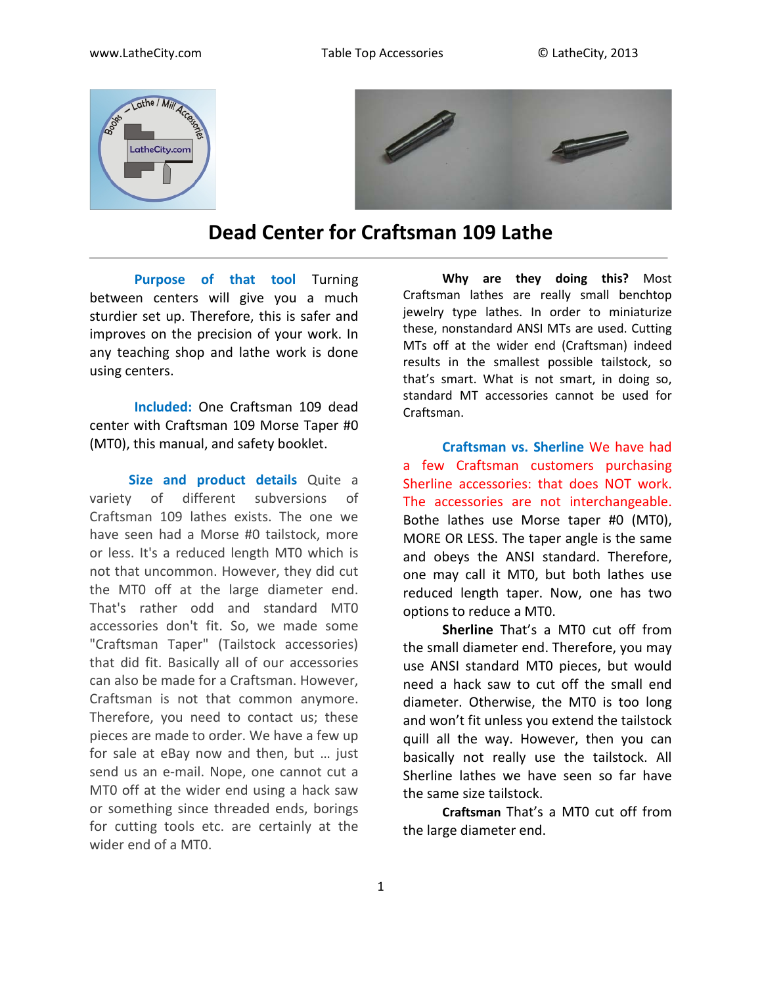



## **Dead Center for Craftsman 109 Lathe**

**Purpose of that tool** Turning between centers will give you a much sturdier set up. Therefore, this is safer and improves on the precision of your work. In any teaching shop and lathe work is done using centers.

**Included:** One Craftsman 109 dead center with Craftsman 109 Morse Taper #0 (MT0), this manual, and safety booklet.

**Size and product details** Quite a variety of different subversions of Craftsman 109 lathes exists. The one we have seen had a Morse #0 tailstock, more or less. It's a reduced length MT0 which is not that uncommon. However, they did cut the MT0 off at the large diameter end. That's rather odd and standard MT0 accessories don't fit. So, we made some "Craftsman Taper" (Tailstock accessories) that did fit. Basically all of our accessories can also be made for a Craftsman. However, Craftsman is not that common anymore. Therefore, you need to contact us; these pieces are made to order. We have a few up for sale at eBay now and then, but … just send us an e-mail. Nope, one cannot cut a MT0 off at the wider end using a hack saw or something since threaded ends, borings for cutting tools etc. are certainly at the wider end of a MT0.

**Why are they doing this?** Most Craftsman lathes are really small benchtop jewelry type lathes. In order to miniaturize these, nonstandard ANSI MTs are used. Cutting MTs off at the wider end (Craftsman) indeed results in the smallest possible tailstock, so that's smart. What is not smart, in doing so, standard MT accessories cannot be used for Craftsman.

**Craftsman vs. Sherline** We have had a few Craftsman customers purchasing Sherline accessories: that does NOT work. The accessories are not interchangeable. Bothe lathes use Morse taper #0 (MT0), MORE OR LESS. The taper angle is the same and obeys the ANSI standard. Therefore, one may call it MT0, but both lathes use reduced length taper. Now, one has two options to reduce a MT0.

**Sherline** That's a MT0 cut off from the small diameter end. Therefore, you may use ANSI standard MT0 pieces, but would need a hack saw to cut off the small end diameter. Otherwise, the MT0 is too long and won't fit unless you extend the tailstock quill all the way. However, then you can basically not really use the tailstock. All Sherline lathes we have seen so far have the same size tailstock.

**Craftsman** That's a MT0 cut off from the large diameter end.